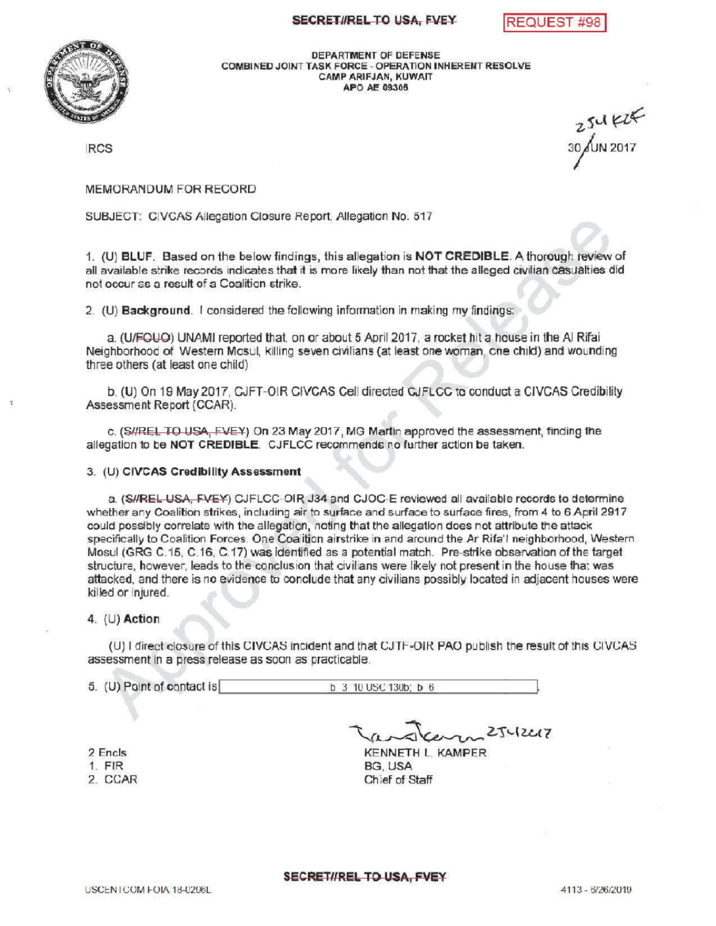## SECRET//REL TO USA, FVEY REQUEST #98



DEPARTMENTOF DEFENSE COMBINED JOINT TASK FORCE - OPERATION INHERENT RESOLVE CAMPARIFJAN, KUWAIT APO AE 09306

 $254K$ <br>IRCS 30 $\sqrt{11}$  2017

## MEMORANDUM FOR RECORD

SUBJECT: CIVCAS Allegation Closure Report, Allegation No. 517

1. (U ) BLUF. Based on the below findings, this allegation is NOT CREDIBLE. A thorough review of all available strike records indicates that it is more likely than not that the alleged civilian casualties did not occur as a result of a Coalition strike.

2. (U) Background. I considered the following information in making my findings

a. (U/FOUO) UNAMI reported that, on or about 5 April 2017, a rocket hit a house in the Al Rifai Neighborhood of Western Mosul, killing seven civilians (at least one woman, one child) and wounding three others ( at least one child)

b. (U) On 19 May 2017, CJFT-OIR CIVCAS Cell directed CJFLCC to conduct a CIVCAS Credibility Assessment Report (CCAR).

c. (S//REL TO USA, FVEY) On 23 May 2017, MG Martin approved the assessment, finding the allegation to be NOT CREDIBLE. CJFLCC recommends no further action be taken.

## 3. (U) CIVCAS CredibilityAssessment

a. (S//REL USA, FVEY) CJFLCC-OIR J34 and CJOC-E reviewed all available records to determine whether any Coalition strikes, including air to surface and surface to surface fires, from 4 to 6 April 2917 could possibly correlate with the allegation, noting that the allegation does not attribute the attack specifically to Coalition Forces. One Coalition airstrike in and around the Ar Rifa'l neighborhood, Western Mosul (GRG C.15, C.16, C.17) was identified as a potential match. Pre-strike observation of the target structure, however, leads to the conclusion that civilians were likely not present in the house that was attacked, and there is no evidence to conclude that any civilians possibly located in adjacent houses were killed or injured.

## 4.  $(U)$  Action

(U) I direct closure of this CIVCAS incident and that CJTF-OIR PAO publish the result of this CIVCAS assessment in a press release as soon as practicable.

 $5.$  (U) Point of contact is b  $3.10$  USC 130b; b  $6.$ 

2 Encls

- 1. FIR
- 2. CCAR

 $2542217$ KENNETH L. KAMPER

BG, USA Chief of Staff